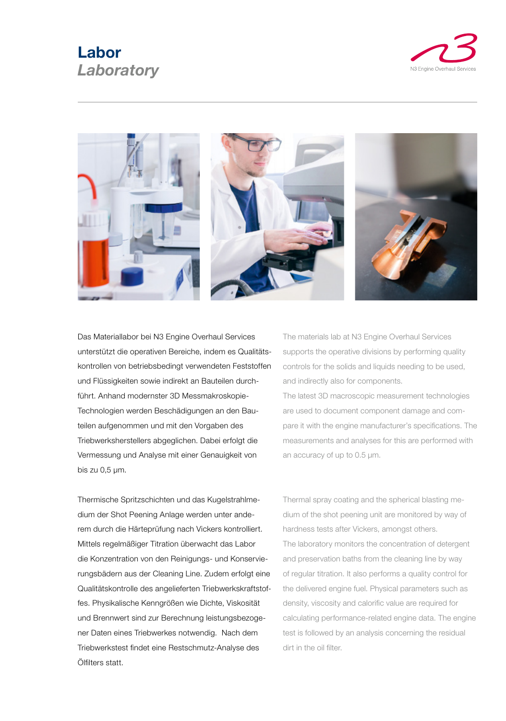## **Labor** *Laboratory*





Das Materiallabor bei N3 Engine Overhaul Services unterstützt die operativen Bereiche, indem es Qualitätskontrollen von betriebsbedingt verwendeten Feststoffen und Flüssigkeiten sowie indirekt an Bauteilen durchführt. Anhand modernster 3D Messmakroskopie-Technologien werden Beschädigungen an den Bauteilen aufgenommen und mit den Vorgaben des Triebwerksherstellers abgeglichen. Dabei erfolgt die Vermessung und Analyse mit einer Genauigkeit von bis zu 0,5 µm.

Thermische Spritzschichten und das Kugelstrahlmedium der Shot Peening Anlage werden unter anderem durch die Härteprüfung nach Vickers kontrolliert. Mittels regelmäßiger Titration überwacht das Labor die Konzentration von den Reinigungs- und Konservierungsbädern aus der Cleaning Line. Zudem erfolgt eine Qualitätskontrolle des angelieferten Triebwerkskraftstoffes. Physikalische Kenngrößen wie Dichte, Viskosität und Brennwert sind zur Berechnung leistungsbezogener Daten eines Triebwerkes notwendig. Nach dem Triebwerkstest findet eine Restschmutz-Analyse des Ölfilters statt.

The materials lab at N3 Engine Overhaul Services supports the operative divisions by performing quality controls for the solids and liquids needing to be used, and indirectly also for components.

The latest 3D macroscopic measurement technologies are used to document component damage and compare it with the engine manufacturer's specifications. The measurements and analyses for this are performed with an accuracy of up to 0.5 µm.

Thermal spray coating and the spherical blasting medium of the shot peening unit are monitored by way of hardness tests after Vickers, amongst others. The laboratory monitors the concentration of detergent and preservation baths from the cleaning line by way of regular titration. It also performs a quality control for the delivered engine fuel. Physical parameters such as density, viscosity and calorific value are required for calculating performance-related engine data. The engine test is followed by an analysis concerning the residual dirt in the oil filter.